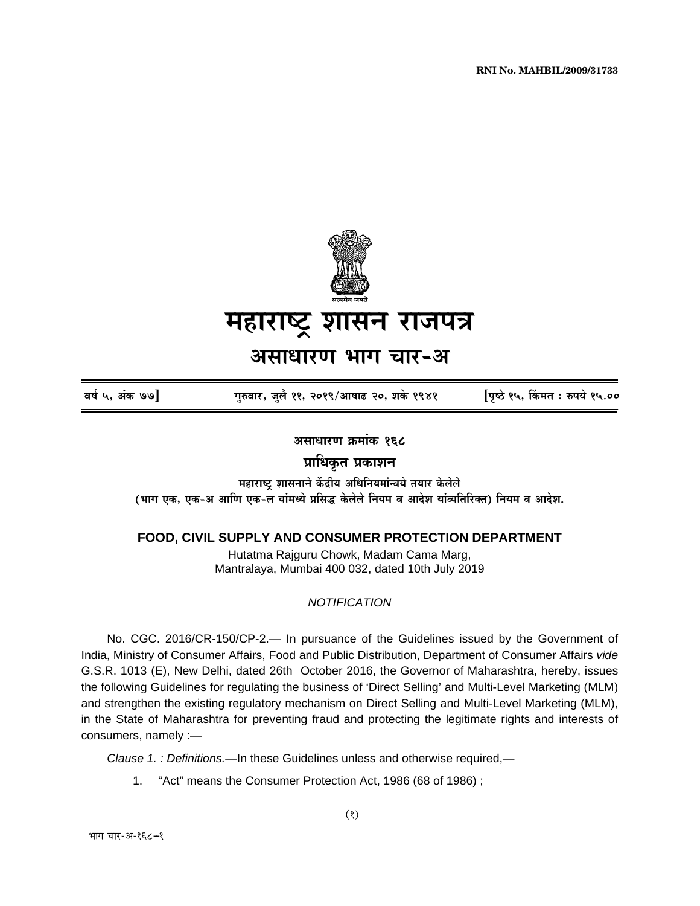**RNI No. MAHBIL/2009/31733** 



# महाराष्ट्र शासन राजपत्र

# असाधारण भाग चार-अ

वर्ष ५, अंक ७७]

गुरुवार, जुलै ११, २०१९/आषाढ २०, शके १९४१

[पृष्ठे १५, किंमत : रुपये १५.००

असाधारण क्रमांक १६८

प्राधिकृत प्रकाशन

महाराष्ट्र शासनाने केंद्रीय अधिनियमांन्वये तयार केलेले (भाग एक, एक-अ आणि एक-ल यांमध्ये प्रसिद्ध केलेले नियम व आदेश यांव्यतिरिक्त) नियम व आदेश.

# FOOD, CIVIL SUPPLY AND CONSUMER PROTECTION DEPARTMENT

Hutatma Rajguru Chowk, Madam Cama Marg, Mantralaya, Mumbai 400 032, dated 10th July 2019

#### **NOTIFICATION**

No. CGC. 2016/CR-150/CP-2.— In pursuance of the Guidelines issued by the Government of India, Ministry of Consumer Affairs, Food and Public Distribution, Department of Consumer Affairs vide G.S.R. 1013 (E), New Delhi, dated 26th October 2016, the Governor of Maharashtra, hereby, issues the following Guidelines for regulating the business of 'Direct Selling' and Multi-Level Marketing (MLM) and strengthen the existing regulatory mechanism on Direct Selling and Multi-Level Marketing (MLM), in the State of Maharashtra for preventing fraud and protecting the legitimate rights and interests of consumers, namely :-

Clause 1. : Definitions.—In these Guidelines unless and otherwise required,—

 $1<sup>1</sup>$ "Act" means the Consumer Protection Act, 1986 (68 of 1986);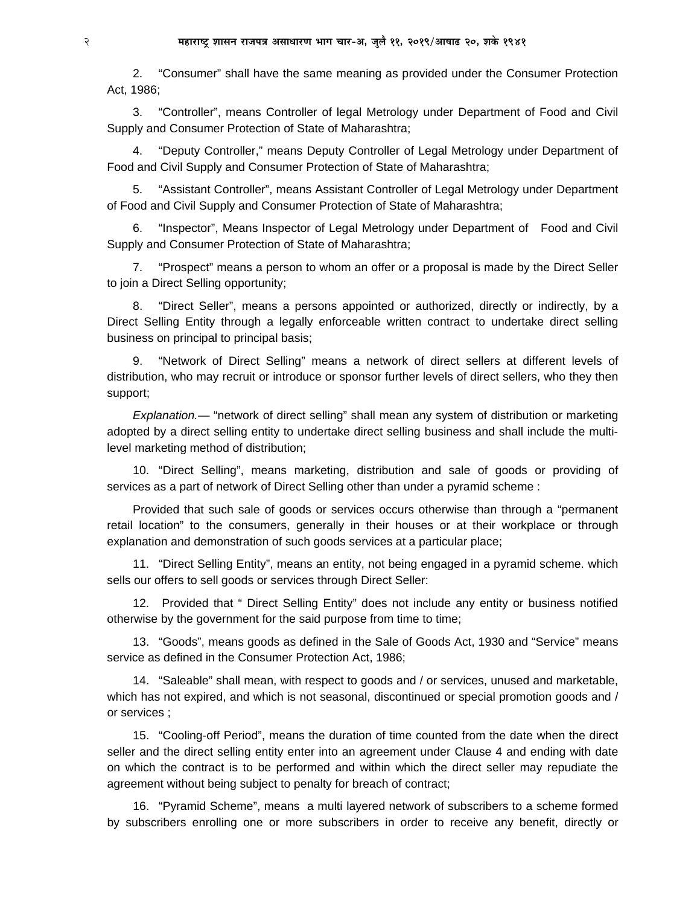2. "Consumer" shall have the same meaning as provided under the Consumer Protection Act, 1986;

3. "Controller", means Controller of legal Metrology under Department of Food and Civil Supply and Consumer Protection of State of Maharashtra;

4. "Deputy Controller," means Deputy Controller of Legal Metrology under Department of Food and Civil Supply and Consumer Protection of State of Maharashtra;

5. "Assistant Controller", means Assistant Controller of Legal Metrology under Department of Food and Civil Supply and Consumer Protection of State of Maharashtra;

6. "Inspector", Means Inspector of Legal Metrology under Department of Food and Civil Supply and Consumer Protection of State of Maharashtra;

7. "Prospect" means a person to whom an offer or a proposal is made by the Direct Seller to join a Direct Selling opportunity;

8. "Direct Seller", means a persons appointed or authorized, directly or indirectly, by a Direct Selling Entity through a legally enforceable written contract to undertake direct selling business on principal to principal basis;

9. "Network of Direct Selling" means a network of direct sellers at different levels of distribution, who may recruit or introduce or sponsor further levels of direct sellers, who they then support;

*Explanation.—* "network of direct selling" shall mean any system of distribution or marketing adopted by a direct selling entity to undertake direct selling business and shall include the multilevel marketing method of distribution;

10. "Direct Selling", means marketing, distribution and sale of goods or providing of services as a part of network of Direct Selling other than under a pyramid scheme :

Provided that such sale of goods or services occurs otherwise than through a "permanent retail location" to the consumers, generally in their houses or at their workplace or through explanation and demonstration of such goods services at a particular place;

11. "Direct Selling Entity", means an entity, not being engaged in a pyramid scheme. which sells our offers to sell goods or services through Direct Seller:

12. Provided that " Direct Selling Entity" does not include any entity or business notified otherwise by the government for the said purpose from time to time;

13. "Goods", means goods as defined in the Sale of Goods Act, 1930 and "Service" means service as defined in the Consumer Protection Act, 1986;

14. "Saleable" shall mean, with respect to goods and / or services, unused and marketable, which has not expired, and which is not seasonal, discontinued or special promotion goods and / or services ;

15. "Cooling-off Period", means the duration of time counted from the date when the direct seller and the direct selling entity enter into an agreement under Clause 4 and ending with date on which the contract is to be performed and within which the direct seller may repudiate the agreement without being subject to penalty for breach of contract;

16. "Pyramid Scheme", means a multi layered network of subscribers to a scheme formed by subscribers enrolling one or more subscribers in order to receive any benefit, directly or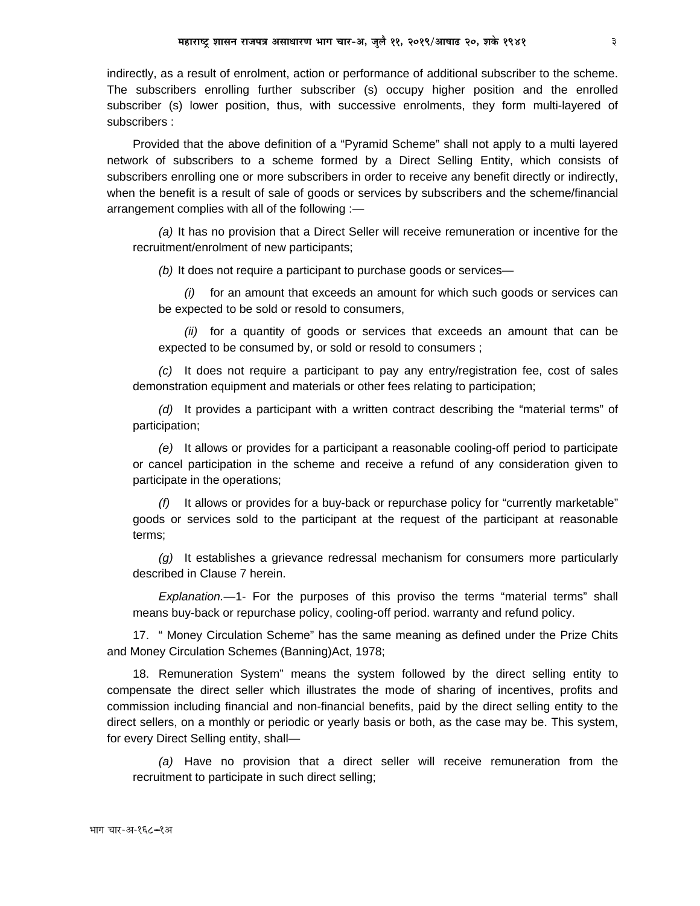indirectly, as a result of enrolment, action or performance of additional subscriber to the scheme. The subscribers enrolling further subscriber (s) occupy higher position and the enrolled subscriber (s) lower position, thus, with successive enrolments, they form multi-layered of subscribers :

Provided that the above definition of a "Pyramid Scheme" shall not apply to a multi layered network of subscribers to a scheme formed by a Direct Selling Entity, which consists of subscribers enrolling one or more subscribers in order to receive any benefit directly or indirectly, when the benefit is a result of sale of goods or services by subscribers and the scheme/financial arrangement complies with all of the following :*—*

*(a)* It has no provision that a Direct Seller will receive remuneration or incentive for the recruitment/enrolment of new participants;

*(b)* It does not require a participant to purchase goods or services*—*

*(i)* for an amount that exceeds an amount for which such goods or services can be expected to be sold or resold to consumers,

*(ii)* for a quantity of goods or services that exceeds an amount that can be expected to be consumed by, or sold or resold to consumers ;

*(c)* It does not require a participant to pay any entry/registration fee, cost of sales demonstration equipment and materials or other fees relating to participation;

*(d)* It provides a participant with a written contract describing the "material terms" of participation;

*(e)* It allows or provides for a participant a reasonable cooling-off period to participate or cancel participation in the scheme and receive a refund of any consideration given to participate in the operations;

*(f)* It allows or provides for a buy-back or repurchase policy for "currently marketable" goods or services sold to the participant at the request of the participant at reasonable terms;

*(g)* It establishes a grievance redressal mechanism for consumers more particularly described in Clause 7 herein.

*Explanation.—*1- For the purposes of this proviso the terms "material terms" shall means buy-back or repurchase policy, cooling-off period. warranty and refund policy.

17. " Money Circulation Scheme" has the same meaning as defined under the Prize Chits and Money Circulation Schemes (Banning)Act, 1978;

18. Remuneration System" means the system followed by the direct selling entity to compensate the direct seller which illustrates the mode of sharing of incentives, profits and commission including financial and non-financial benefits, paid by the direct selling entity to the direct sellers, on a monthly or periodic or yearly basis or both, as the case may be. This system, for every Direct Selling entity, shall*—*

*(a)* Have no provision that a direct seller will receive remuneration from the recruitment to participate in such direct selling;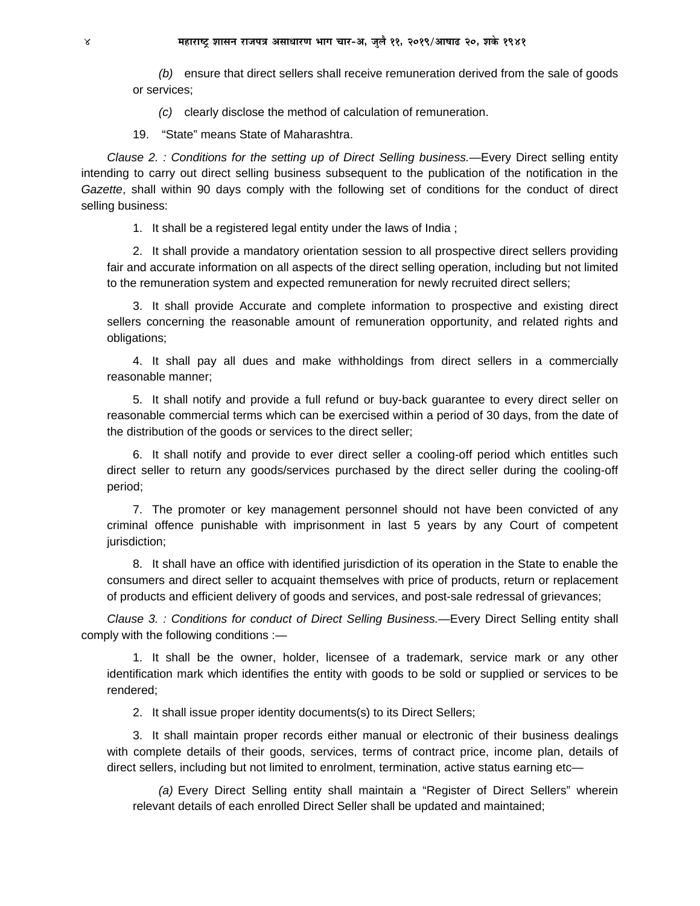*(b)* ensure that direct sellers shall receive remuneration derived from the sale of goods or services;

*(c)* clearly disclose the method of calculation of remuneration.

19. "State" means State of Maharashtra.

*Clause 2. : Conditions for the setting up of Direct Selling business.—*Every Direct selling entity intending to carry out direct selling business subsequent to the publication of the notification in the *Gazette*, shall within 90 days comply with the following set of conditions for the conduct of direct selling business:

1. It shall be a registered legal entity under the laws of India ;

2. It shall provide a mandatory orientation session to all prospective direct sellers providing fair and accurate information on all aspects of the direct selling operation, including but not limited to the remuneration system and expected remuneration for newly recruited direct sellers;

3. It shall provide Accurate and complete information to prospective and existing direct sellers concerning the reasonable amount of remuneration opportunity, and related rights and obligations;

4. It shall pay all dues and make withholdings from direct sellers in a commercially reasonable manner;

5. It shall notify and provide a full refund or buy-back guarantee to every direct seller on reasonable commercial terms which can be exercised within a period of 30 days, from the date of the distribution of the goods or services to the direct seller;

6. It shall notify and provide to ever direct seller a cooling-off period which entitles such direct seller to return any goods/services purchased by the direct seller during the cooling-off period;

7. The promoter or key management personnel should not have been convicted of any criminal offence punishable with imprisonment in last 5 years by any Court of competent jurisdiction;

8. It shall have an office with identified jurisdiction of its operation in the State to enable the consumers and direct seller to acquaint themselves with price of products, return or replacement of products and efficient delivery of goods and services, and post-sale redressal of grievances;

*Clause 3. : Conditions for conduct of Direct Selling Business.—*Every Direct Selling entity shall comply with the following conditions :—

1. It shall be the owner, holder, licensee of a trademark, service mark or any other identification mark which identifies the entity with goods to be sold or supplied or services to be rendered;

2. It shall issue proper identity documents(s) to its Direct Sellers;

3. It shall maintain proper records either manual or electronic of their business dealings with complete details of their goods, services, terms of contract price, income plan, details of direct sellers, including but not limited to enrolment, termination, active status earning etc—

*(a)* Every Direct Selling entity shall maintain a "Register of Direct Sellers" wherein relevant details of each enrolled Direct Seller shall be updated and maintained;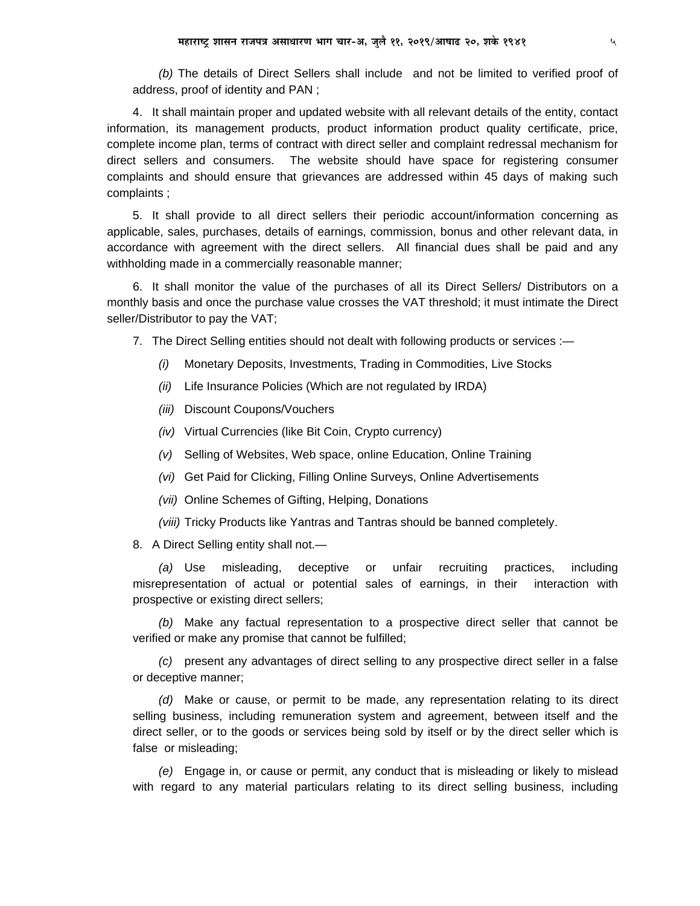(b) The details of Direct Sellers shall include and not be limited to verified proof of address, proof of identity and PAN;

4. It shall maintain proper and updated website with all relevant details of the entity, contact information, its management products, product information product quality certificate, price, complete income plan, terms of contract with direct seller and complaint redressal mechanism for direct sellers and consumers. The website should have space for registering consumer complaints and should ensure that grievances are addressed within 45 days of making such complaints;

5. It shall provide to all direct sellers their periodic account/information concerning as applicable, sales, purchases, details of earnings, commission, bonus and other relevant data, in accordance with agreement with the direct sellers. All financial dues shall be paid and any withholding made in a commercially reasonable manner;

6. It shall monitor the value of the purchases of all its Direct Sellers/ Distributors on a monthly basis and once the purchase value crosses the VAT threshold; it must intimate the Direct seller/Distributor to pay the VAT;

7. The Direct Selling entities should not dealt with following products or services :-

- (i) Monetary Deposits, Investments, Trading in Commodities, Live Stocks
- (ii) Life Insurance Policies (Which are not regulated by IRDA)
- (iii) Discount Coupons/Vouchers
- (iv) Virtual Currencies (like Bit Coin, Crypto currency)
- (v) Selling of Websites, Web space, online Education, Online Training
- (vi) Get Paid for Clicking, Filling Online Surveys, Online Advertisements
- (vii) Online Schemes of Gifting, Helping, Donations

(viii) Tricky Products like Yantras and Tantras should be banned completely.

8. A Direct Selling entity shall not.-

misleading, deceptive (a) Use or unfair recruiting practices, including misrepresentation of actual or potential sales of earnings, in their interaction with prospective or existing direct sellers;

(b) Make any factual representation to a prospective direct seller that cannot be verified or make any promise that cannot be fulfilled;

(c) present any advantages of direct selling to any prospective direct seller in a false or deceptive manner;

(d) Make or cause, or permit to be made, any representation relating to its direct selling business, including remuneration system and agreement, between itself and the direct seller, or to the goods or services being sold by itself or by the direct seller which is false or misleading;

(e) Engage in, or cause or permit, any conduct that is misleading or likely to mislead with regard to any material particulars relating to its direct selling business, including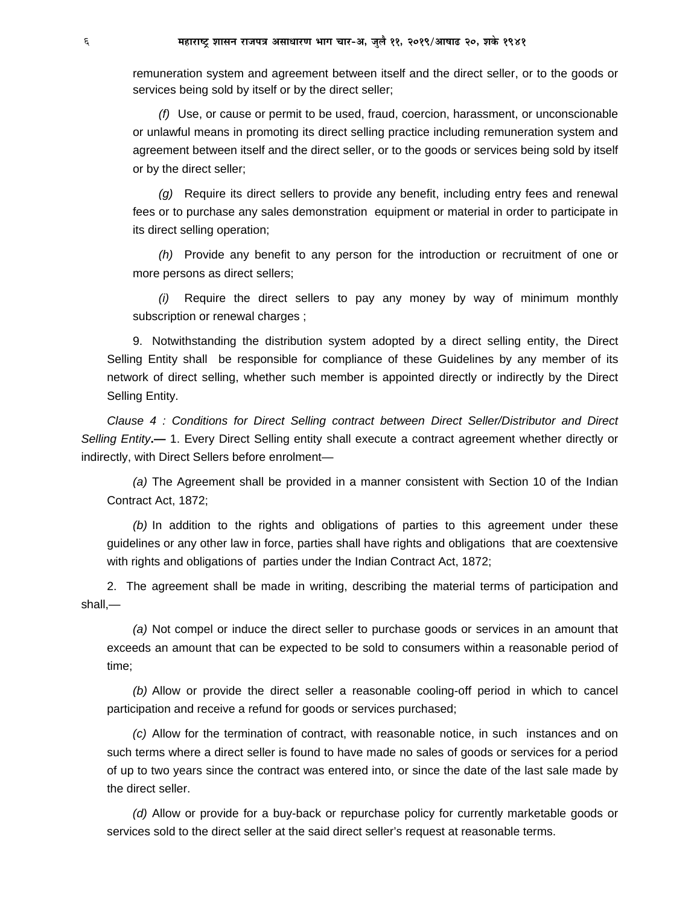remuneration system and agreement between itself and the direct seller, or to the goods or services being sold by itself or by the direct seller;

*(f)* Use, or cause or permit to be used, fraud, coercion, harassment, or unconscionable or unlawful means in promoting its direct selling practice including remuneration system and agreement between itself and the direct seller, or to the goods or services being sold by itself or by the direct seller;

*(g)* Require its direct sellers to provide any benefit, including entry fees and renewal fees or to purchase any sales demonstration equipment or material in order to participate in its direct selling operation;

*(h)* Provide any benefit to any person for the introduction or recruitment of one or more persons as direct sellers;

*(i)* Require the direct sellers to pay any money by way of minimum monthly subscription or renewal charges ;

9. Notwithstanding the distribution system adopted by a direct selling entity, the Direct Selling Entity shall be responsible for compliance of these Guidelines by any member of its network of direct selling, whether such member is appointed directly or indirectly by the Direct Selling Entity.

*Clause 4 : Conditions for Direct Selling contract between Direct Seller/Distributor and Direct Selling Entity***.—** 1. Every Direct Selling entity shall execute a contract agreement whether directly or indirectly, with Direct Sellers before enrolment—

*(a)* The Agreement shall be provided in a manner consistent with Section 10 of the Indian Contract Act, 1872;

*(b)* In addition to the rights and obligations of parties to this agreement under these guidelines or any other law in force, parties shall have rights and obligations that are coextensive with rights and obligations of parties under the Indian Contract Act, 1872;

2. The agreement shall be made in writing, describing the material terms of participation and shall,—

*(a)* Not compel or induce the direct seller to purchase goods or services in an amount that exceeds an amount that can be expected to be sold to consumers within a reasonable period of time;

*(b)* Allow or provide the direct seller a reasonable cooling-off period in which to cancel participation and receive a refund for goods or services purchased;

*(c)* Allow for the termination of contract, with reasonable notice, in such instances and on such terms where a direct seller is found to have made no sales of goods or services for a period of up to two years since the contract was entered into, or since the date of the last sale made by the direct seller.

*(d)* Allow or provide for a buy-back or repurchase policy for currently marketable goods or services sold to the direct seller at the said direct seller's request at reasonable terms.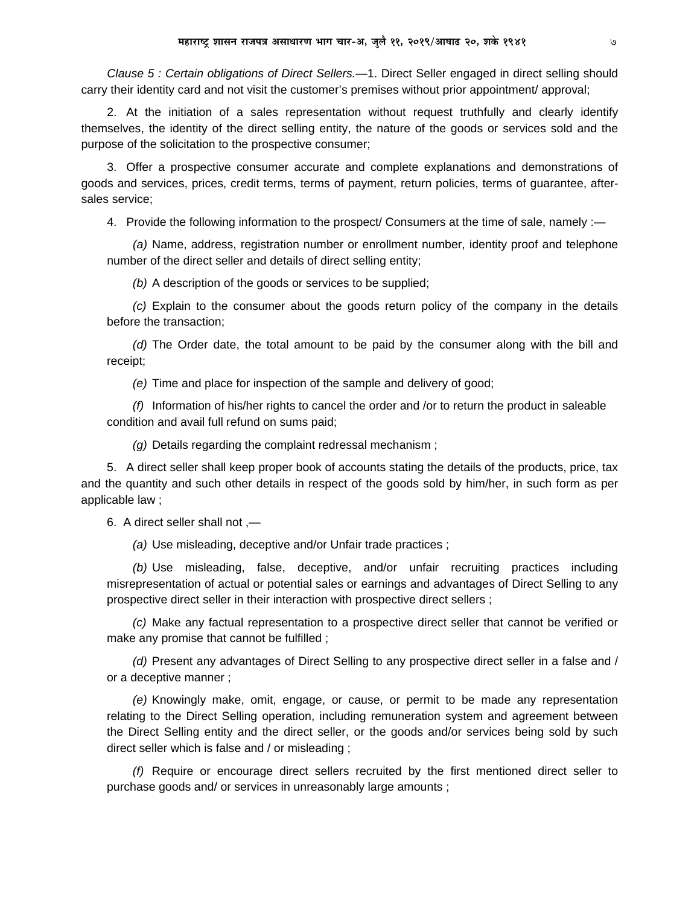*Clause 5 : Certain obligations of Direct Sellers.—*1. Direct Seller engaged in direct selling should carry their identity card and not visit the customer's premises without prior appointment/ approval;

2. At the initiation of a sales representation without request truthfully and clearly identify themselves, the identity of the direct selling entity, the nature of the goods or services sold and the purpose of the solicitation to the prospective consumer;

3. Offer a prospective consumer accurate and complete explanations and demonstrations of goods and services, prices, credit terms, terms of payment, return policies, terms of guarantee, aftersales service;

4. Provide the following information to the prospect/ Consumers at the time of sale, namely :-

*(a)* Name, address, registration number or enrollment number, identity proof and telephone number of the direct seller and details of direct selling entity;

*(b)* A description of the goods or services to be supplied;

*(c)* Explain to the consumer about the goods return policy of the company in the details before the transaction;

*(d)* The Order date, the total amount to be paid by the consumer along with the bill and receipt;

*(e)* Time and place for inspection of the sample and delivery of good;

*(f)* Information of his/her rights to cancel the order and /or to return the product in saleable condition and avail full refund on sums paid;

*(g)* Details regarding the complaint redressal mechanism ;

5. A direct seller shall keep proper book of accounts stating the details of the products, price, tax and the quantity and such other details in respect of the goods sold by him/her, in such form as per applicable law ;

6.A direct seller shall not ,—

*(a)* Use misleading, deceptive and/or Unfair trade practices ;

*(b)* Use misleading, false, deceptive, and/or unfair recruiting practices including misrepresentation of actual or potential sales or earnings and advantages of Direct Selling to any prospective direct seller in their interaction with prospective direct sellers ;

*(c)* Make any factual representation to a prospective direct seller that cannot be verified or make any promise that cannot be fulfilled ;

*(d)* Present any advantages of Direct Selling to any prospective direct seller in a false and / or a deceptive manner ;

*(e)* Knowingly make, omit, engage, or cause, or permit to be made any representation relating to the Direct Selling operation, including remuneration system and agreement between the Direct Selling entity and the direct seller, or the goods and/or services being sold by such direct seller which is false and / or misleading ;

*(f)* Require or encourage direct sellers recruited by the first mentioned direct seller to purchase goods and/ or services in unreasonably large amounts ;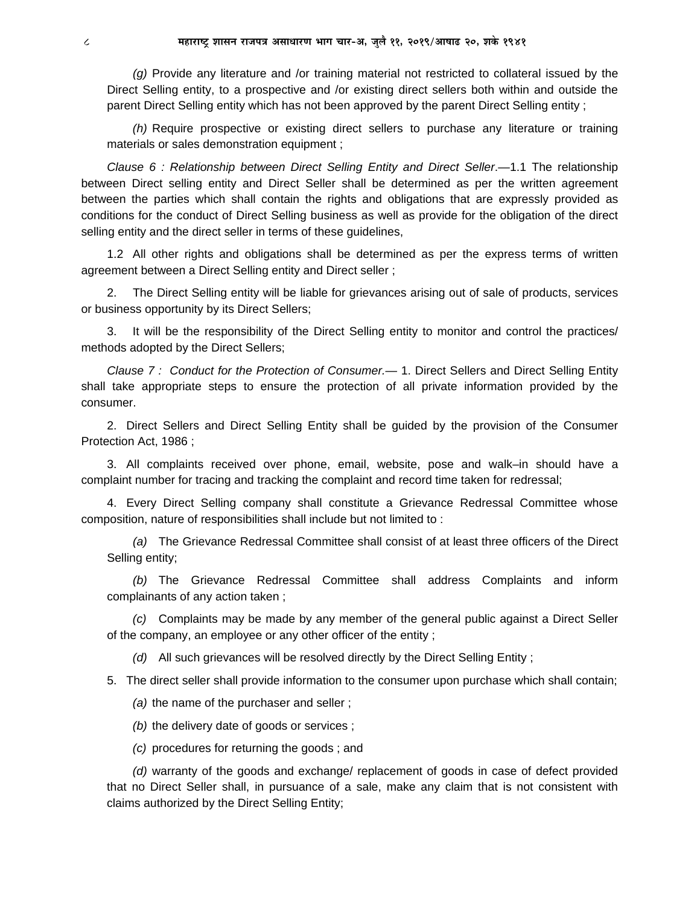*(g)* Provide any literature and /or training material not restricted to collateral issued by the Direct Selling entity, to a prospective and /or existing direct sellers both within and outside the parent Direct Selling entity which has not been approved by the parent Direct Selling entity ;

*(h)* Require prospective or existing direct sellers to purchase any literature or training materials or sales demonstration equipment ;

*Clause 6 : Relationship between Direct Selling Entity and Direct Seller*.—1.1 The relationship between Direct selling entity and Direct Seller shall be determined as per the written agreement between the parties which shall contain the rights and obligations that are expressly provided as conditions for the conduct of Direct Selling business as well as provide for the obligation of the direct selling entity and the direct seller in terms of these guidelines,

1.2 All other rights and obligations shall be determined as per the express terms of written agreement between a Direct Selling entity and Direct seller ;

2. The Direct Selling entity will be liable for grievances arising out of sale of products, services or business opportunity by its Direct Sellers;

It will be the responsibility of the Direct Selling entity to monitor and control the practices/ methods adopted by the Direct Sellers;

*Clause 7 : Conduct for the Protection of Consumer.—* 1. Direct Sellers and Direct Selling Entity shall take appropriate steps to ensure the protection of all private information provided by the consumer.

2. Direct Sellers and Direct Selling Entity shall be guided by the provision of the Consumer Protection Act, 1986 ;

3. All complaints received over phone, email, website, pose and walk–in should have a complaint number for tracing and tracking the complaint and record time taken for redressal;

4. Every Direct Selling company shall constitute a Grievance Redressal Committee whose composition, nature of responsibilities shall include but not limited to :

*(a)* The Grievance Redressal Committee shall consist of at least three officers of the Direct Selling entity;

*(b)* The Grievance Redressal Committee shall address Complaints and inform complainants of any action taken ;

*(c)* Complaints may be made by any member of the general public against a Direct Seller of the company, an employee or any other officer of the entity ;

*(d)* All such grievances will be resolved directly by the Direct Selling Entity ;

5. The direct seller shall provide information to the consumer upon purchase which shall contain;

*(a)* the name of the purchaser and seller ;

*(b)* the delivery date of goods or services ;

*(c)* procedures for returning the goods ; and

*(d)* warranty of the goods and exchange/ replacement of goods in case of defect provided that no Direct Seller shall, in pursuance of a sale, make any claim that is not consistent with claims authorized by the Direct Selling Entity;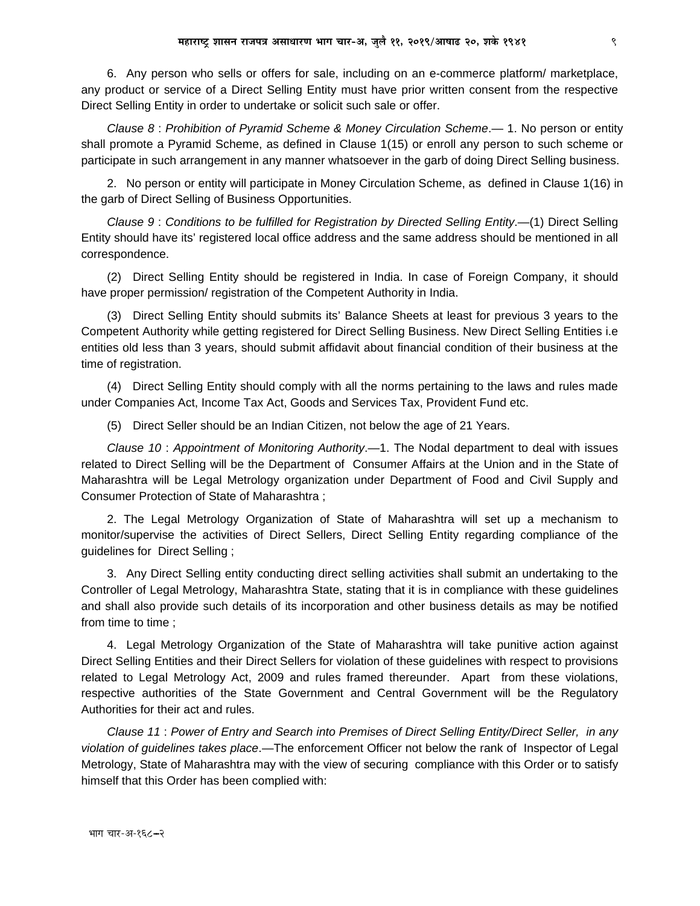6. Any person who sells or offers for sale, including on an e-commerce platform/marketplace, any product or service of a Direct Selling Entity must have prior written consent from the respective Direct Selling Entity in order to undertake or solicit such sale or offer.

Clause 8: Prohibition of Pyramid Scheme & Money Circulation Scheme - 1. No person or entity shall promote a Pyramid Scheme, as defined in Clause 1(15) or enroll any person to such scheme or participate in such arrangement in any manner whatsoever in the garb of doing Direct Selling business.

2. No person or entity will participate in Money Circulation Scheme, as defined in Clause 1(16) in the garb of Direct Selling of Business Opportunities.

Clause 9: Conditions to be fulfilled for Registration by Directed Selling Entity.—(1) Direct Selling Entity should have its' registered local office address and the same address should be mentioned in all correspondence.

(2) Direct Selling Entity should be registered in India. In case of Foreign Company, it should have proper permission/ registration of the Competent Authority in India.

(3) Direct Selling Entity should submits its' Balance Sheets at least for previous 3 years to the Competent Authority while getting registered for Direct Selling Business. New Direct Selling Entities i.e. entities old less than 3 years, should submit affidavit about financial condition of their business at the time of registration.

(4) Direct Selling Entity should comply with all the norms pertaining to the laws and rules made under Companies Act, Income Tax Act, Goods and Services Tax, Provident Fund etc.

(5) Direct Seller should be an Indian Citizen, not below the age of 21 Years.

Clause 10: Appointment of Monitoring Authority.—1. The Nodal department to deal with issues related to Direct Selling will be the Department of Consumer Affairs at the Union and in the State of Maharashtra will be Legal Metrology organization under Department of Food and Civil Supply and Consumer Protection of State of Maharashtra;

2. The Legal Metrology Organization of State of Maharashtra will set up a mechanism to monitor/supervise the activities of Direct Sellers, Direct Selling Entity regarding compliance of the guidelines for Direct Selling;

3. Any Direct Selling entity conducting direct selling activities shall submit an undertaking to the Controller of Legal Metrology, Maharashtra State, stating that it is in compliance with these guidelines and shall also provide such details of its incorporation and other business details as may be notified from time to time ;

4. Legal Metrology Organization of the State of Maharashtra will take punitive action against Direct Selling Entities and their Direct Sellers for violation of these guidelines with respect to provisions related to Legal Metrology Act, 2009 and rules framed thereunder. Apart from these violations, respective authorities of the State Government and Central Government will be the Regulatory Authorities for their act and rules.

Clause 11: Power of Entry and Search into Premises of Direct Selling Entity/Direct Seller, in any violation of guidelines takes place.—The enforcement Officer not below the rank of Inspector of Legal Metrology, State of Maharashtra may with the view of securing compliance with this Order or to satisfy himself that this Order has been complied with: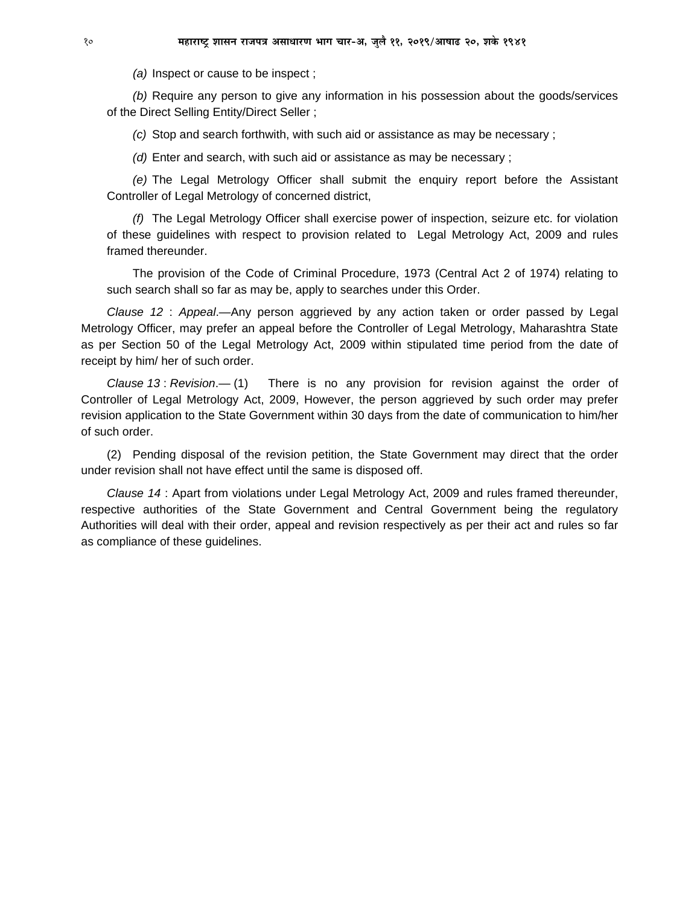*(a)* Inspect or cause to be inspect ;

*(b)* Require any person to give any information in his possession about the goods/services of the Direct Selling Entity/Direct Seller ;

*(c)* Stop and search forthwith, with such aid or assistance as may be necessary ;

*(d)* Enter and search, with such aid or assistance as may be necessary ;

*(e)* The Legal Metrology Officer shall submit the enquiry report before the Assistant Controller of Legal Metrology of concerned district,

*(f)* The Legal Metrology Officer shall exercise power of inspection, seizure etc. for violation of these guidelines with respect to provision related to Legal Metrology Act, 2009 and rules framed thereunder.

The provision of the Code of Criminal Procedure, 1973 (Central Act 2 of 1974) relating to such search shall so far as may be, apply to searches under this Order.

*Clause 12* : *Appeal*.—Any person aggrieved by any action taken or order passed by Legal Metrology Officer, may prefer an appeal before the Controller of Legal Metrology, Maharashtra State as per Section 50 of the Legal Metrology Act, 2009 within stipulated time period from the date of receipt by him/ her of such order.

*Clause 13* : *Revision*.— (1)There is no any provision for revision against the order of Controller of Legal Metrology Act, 2009, However, the person aggrieved by such order may prefer revision application to the State Government within 30 days from the date of communication to him/her of such order.

(2) Pending disposal of the revision petition, the State Government may direct that the order under revision shall not have effect until the same is disposed off.

*Clause 14* : Apart from violations under Legal Metrology Act, 2009 and rules framed thereunder, respective authorities of the State Government and Central Government being the regulatory Authorities will deal with their order, appeal and revision respectively as per their act and rules so far as compliance of these guidelines.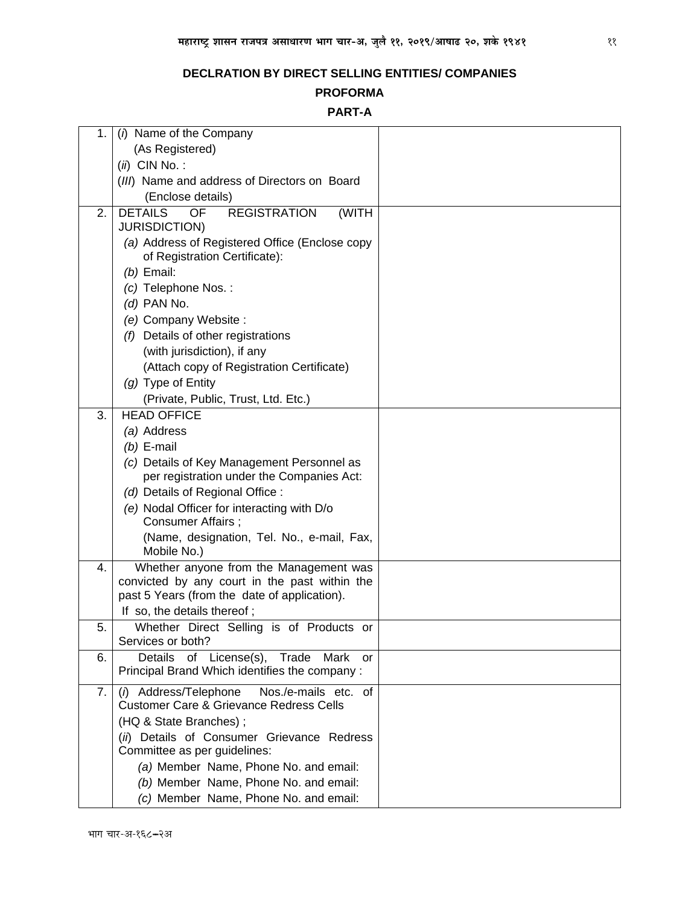# **PROFORMA**

# **PART-A**

| 1. | (i) Name of the Company                                                         |  |
|----|---------------------------------------------------------------------------------|--|
|    | (As Registered)                                                                 |  |
|    | $(ii)$ CIN No.:                                                                 |  |
|    | (III) Name and address of Directors on Board                                    |  |
|    | (Enclose details)                                                               |  |
| 2. | <b>DETAILS</b><br>OF<br><b>REGISTRATION</b><br>(WITH                            |  |
|    | <b>JURISDICTION)</b>                                                            |  |
|    | (a) Address of Registered Office (Enclose copy<br>of Registration Certificate): |  |
|    | $(b)$ Email:                                                                    |  |
|    | (c) Telephone Nos.:                                                             |  |
|    | $(d)$ PAN No.                                                                   |  |
|    | (e) Company Website :                                                           |  |
|    | (f) Details of other registrations                                              |  |
|    | (with jurisdiction), if any                                                     |  |
|    | (Attach copy of Registration Certificate)                                       |  |
|    | (g) Type of Entity                                                              |  |
|    | (Private, Public, Trust, Ltd. Etc.)                                             |  |
| 3. | <b>HEAD OFFICE</b>                                                              |  |
|    | (a) Address                                                                     |  |
|    | $(b)$ E-mail                                                                    |  |
|    | (c) Details of Key Management Personnel as                                      |  |
|    | per registration under the Companies Act:                                       |  |
|    | (d) Details of Regional Office :                                                |  |
|    | (e) Nodal Officer for interacting with D/o<br>Consumer Affairs;                 |  |
|    | (Name, designation, Tel. No., e-mail, Fax,<br>Mobile No.)                       |  |
| 4. | Whether anyone from the Management was                                          |  |
|    | convicted by any court in the past within the                                   |  |
|    | past 5 Years (from the date of application).<br>If so, the details thereof;     |  |
| 5. | Whether Direct Selling is of Products or                                        |  |
|    | Services or both?                                                               |  |
| 6. | Details<br>of<br>License(s), Trade Mark<br>or                                   |  |
|    | Principal Brand Which identifies the company:                                   |  |
| 7. | (i) Address/Telephone<br>Nos./e-mails etc. of                                   |  |
|    | <b>Customer Care &amp; Grievance Redress Cells</b>                              |  |
|    | (HQ & State Branches);                                                          |  |
|    | (ii) Details of Consumer Grievance Redress<br>Committee as per guidelines:      |  |
|    | (a) Member Name, Phone No. and email:                                           |  |
|    | (b) Member Name, Phone No. and email:                                           |  |
|    | (c) Member Name, Phone No. and email:                                           |  |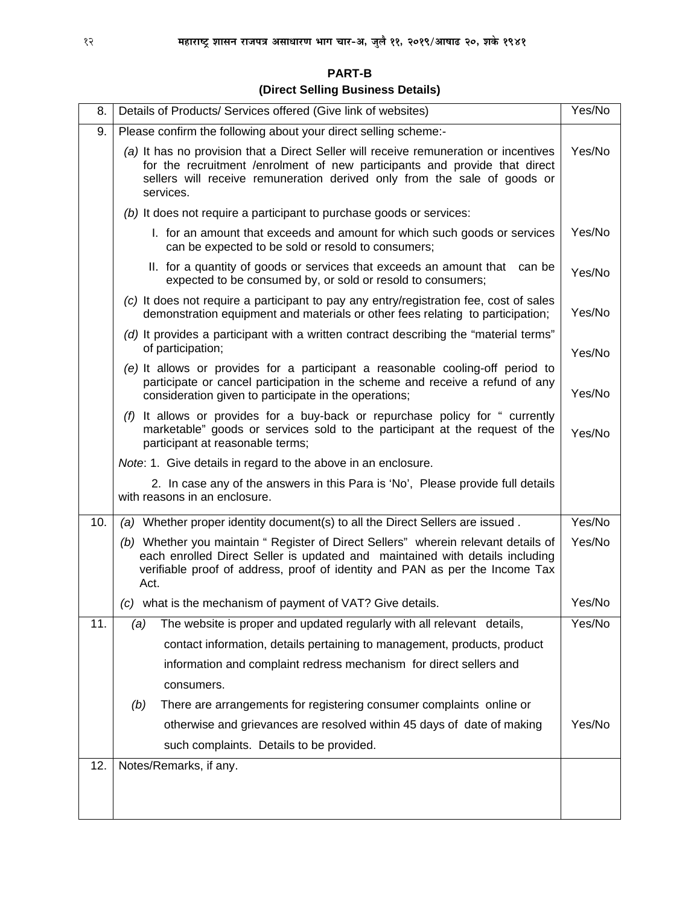| <b>PART-B</b>                     |  |
|-----------------------------------|--|
| (Direct Selling Business Details) |  |

| 8.  | Details of Products/ Services offered (Give link of websites)                                                                                                                                                                                               | Yes/No |
|-----|-------------------------------------------------------------------------------------------------------------------------------------------------------------------------------------------------------------------------------------------------------------|--------|
| 9.  | Please confirm the following about your direct selling scheme:-                                                                                                                                                                                             |        |
|     | (a) It has no provision that a Direct Seller will receive remuneration or incentives<br>for the recruitment /enrolment of new participants and provide that direct<br>sellers will receive remuneration derived only from the sale of goods or<br>services. | Yes/No |
|     | (b) It does not require a participant to purchase goods or services:                                                                                                                                                                                        |        |
|     | I. for an amount that exceeds and amount for which such goods or services<br>can be expected to be sold or resold to consumers;                                                                                                                             | Yes/No |
|     | II. for a quantity of goods or services that exceeds an amount that can be<br>expected to be consumed by, or sold or resold to consumers;                                                                                                                   | Yes/No |
|     | (c) It does not require a participant to pay any entry/registration fee, cost of sales<br>demonstration equipment and materials or other fees relating to participation;                                                                                    | Yes/No |
|     | (d) It provides a participant with a written contract describing the "material terms"<br>of participation;                                                                                                                                                  | Yes/No |
|     | (e) It allows or provides for a participant a reasonable cooling-off period to<br>participate or cancel participation in the scheme and receive a refund of any<br>consideration given to participate in the operations;                                    | Yes/No |
|     | (f) It allows or provides for a buy-back or repurchase policy for " currently<br>marketable" goods or services sold to the participant at the request of the<br>participant at reasonable terms;                                                            | Yes/No |
|     | Note: 1. Give details in regard to the above in an enclosure.                                                                                                                                                                                               |        |
|     | 2. In case any of the answers in this Para is 'No', Please provide full details<br>with reasons in an enclosure.                                                                                                                                            |        |
| 10. | (a) Whether proper identity document(s) to all the Direct Sellers are issued.                                                                                                                                                                               | Yes/No |
|     | (b) Whether you maintain " Register of Direct Sellers" wherein relevant details of<br>each enrolled Direct Seller is updated and maintained with details including<br>verifiable proof of address, proof of identity and PAN as per the Income Tax<br>Act.  |        |
|     | (c) what is the mechanism of payment of VAT? Give details.                                                                                                                                                                                                  | Yes/No |
| 11. | The website is proper and updated regularly with all relevant details,<br>(a)                                                                                                                                                                               | Yes/No |
|     | contact information, details pertaining to management, products, product                                                                                                                                                                                    |        |
|     | information and complaint redress mechanism for direct sellers and                                                                                                                                                                                          |        |
|     | consumers.                                                                                                                                                                                                                                                  |        |
|     | There are arrangements for registering consumer complaints online or<br>(b)                                                                                                                                                                                 |        |
|     | otherwise and grievances are resolved within 45 days of date of making                                                                                                                                                                                      | Yes/No |
|     | such complaints. Details to be provided.                                                                                                                                                                                                                    |        |
| 12. | Notes/Remarks, if any.                                                                                                                                                                                                                                      |        |
|     |                                                                                                                                                                                                                                                             |        |
|     |                                                                                                                                                                                                                                                             |        |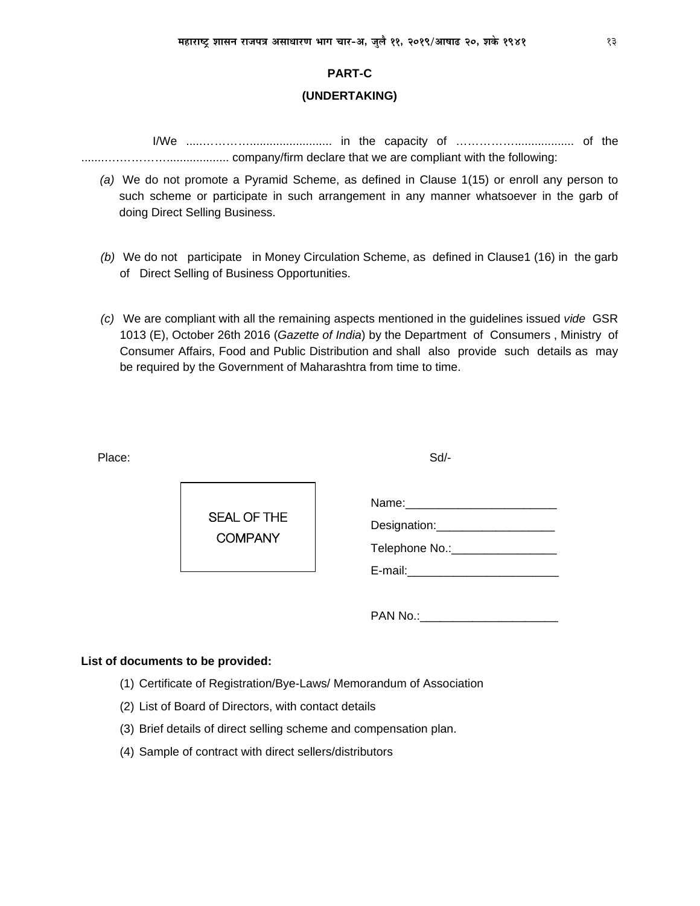#### **PART-C**

#### (UNDERTAKING)

- (a) We do not promote a Pyramid Scheme, as defined in Clause 1(15) or enroll any person to such scheme or participate in such arrangement in any manner whatsoever in the garb of doing Direct Selling Business.
- (b) We do not participate in Money Circulation Scheme, as defined in Clause1 (16) in the garb of Direct Selling of Business Opportunities.
- (c) We are compliant with all the remaining aspects mentioned in the guidelines issued vide GSR 1013 (E), October 26th 2016 (Gazette of India) by the Department of Consumers, Ministry of Consumer Affairs, Food and Public Distribution and shall also provide such details as may be required by the Government of Maharashtra from time to time.

Place:

 $Sd$ -



| Name:          |  |
|----------------|--|
| Designation:   |  |
| Telephone No.: |  |
| E-mail:        |  |

PAN No.:

#### List of documents to be provided:

- (1) Certificate of Registration/Bye-Laws/ Memorandum of Association
- (2) List of Board of Directors, with contact details
- (3) Brief details of direct selling scheme and compensation plan.
- (4) Sample of contract with direct sellers/distributors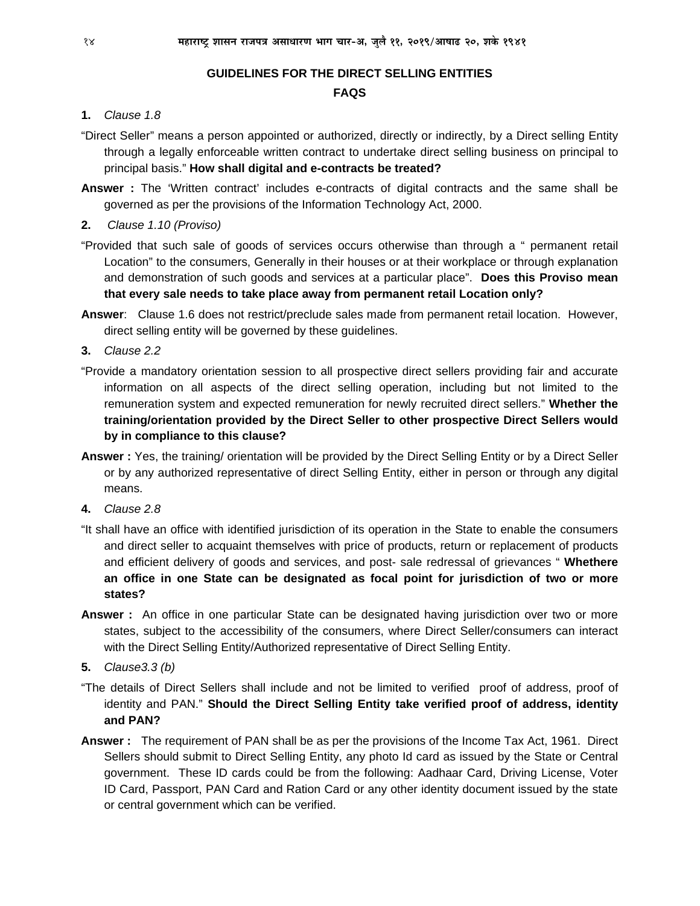# **GUIDELINES FOR THE DIRECT SELLING ENTITIES**

# **FAQS**

# **1.** *Clause 1.8*

- "Direct Seller" means a person appointed or authorized, directly or indirectly, by a Direct selling Entity through a legally enforceable written contract to undertake direct selling business on principal to principal basis." **How shall digital and e-contracts be treated?**
- **Answer :** The 'Written contract' includes e-contracts of digital contracts and the same shall be governed as per the provisions of the Information Technology Act, 2000.
- **2.** *Clause 1.10 (Proviso)*
- "Provided that such sale of goods of services occurs otherwise than through a " permanent retail Location" to the consumers, Generally in their houses or at their workplace or through explanation and demonstration of such goods and services at a particular place". **Does this Proviso mean that every sale needs to take place away from permanent retail Location only?**
- **Answer**: Clause 1.6 does not restrict/preclude sales made from permanent retail location. However, direct selling entity will be governed by these guidelines.
- **3.** *Clause 2.2*
- "Provide a mandatory orientation session to all prospective direct sellers providing fair and accurate information on all aspects of the direct selling operation, including but not limited to the remuneration system and expected remuneration for newly recruited direct sellers." **Whether the training/orientation provided by the Direct Seller to other prospective Direct Sellers would by in compliance to this clause?**
- **Answer :** Yes, the training/ orientation will be provided by the Direct Selling Entity or by a Direct Seller or by any authorized representative of direct Selling Entity, either in person or through any digital means.
- **4.** *Clause 2.8*
- "It shall have an office with identified jurisdiction of its operation in the State to enable the consumers and direct seller to acquaint themselves with price of products, return or replacement of products and efficient delivery of goods and services, and post- sale redressal of grievances " **Whethere an office in one State can be designated as focal point for jurisdiction of two or more states?**
- **Answer :** An office in one particular State can be designated having jurisdiction over two or more states, subject to the accessibility of the consumers, where Direct Seller/consumers can interact with the Direct Selling Entity/Authorized representative of Direct Selling Entity.

**5.** *Clause3.3 (b)* 

- "The details of Direct Sellers shall include and not be limited to verified proof of address, proof of identity and PAN." **Should the Direct Selling Entity take verified proof of address, identity and PAN?**
- **Answer :** The requirement of PAN shall be as per the provisions of the Income Tax Act, 1961. Direct Sellers should submit to Direct Selling Entity, any photo Id card as issued by the State or Central government. These ID cards could be from the following: Aadhaar Card, Driving License, Voter ID Card, Passport, PAN Card and Ration Card or any other identity document issued by the state or central government which can be verified.